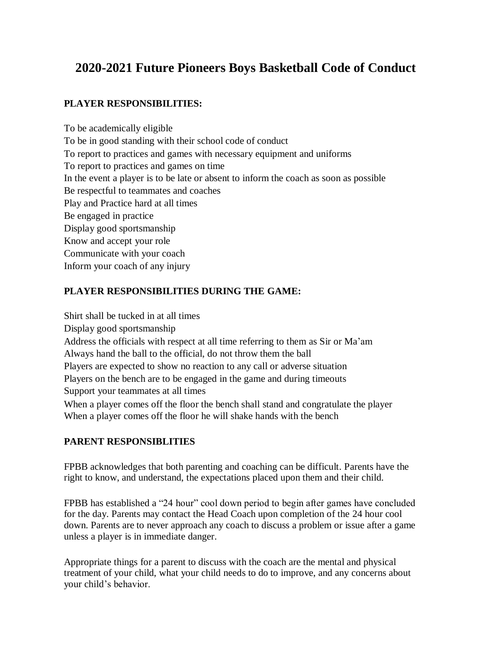## **2020-2021 Future Pioneers Boys Basketball Code of Conduct**

## **PLAYER RESPONSIBILITIES:**

To be academically eligible To be in good standing with their school code of conduct To report to practices and games with necessary equipment and uniforms To report to practices and games on time In the event a player is to be late or absent to inform the coach as soon as possible Be respectful to teammates and coaches Play and Practice hard at all times Be engaged in practice Display good sportsmanship Know and accept your role Communicate with your coach Inform your coach of any injury

## **PLAYER RESPONSIBILITIES DURING THE GAME:**

Shirt shall be tucked in at all times Display good sportsmanship Address the officials with respect at all time referring to them as Sir or Ma'am Always hand the ball to the official, do not throw them the ball Players are expected to show no reaction to any call or adverse situation Players on the bench are to be engaged in the game and during timeouts Support your teammates at all times When a player comes off the floor the bench shall stand and congratulate the player When a player comes off the floor he will shake hands with the bench

## **PARENT RESPONSIBLITIES**

FPBB acknowledges that both parenting and coaching can be difficult. Parents have the right to know, and understand, the expectations placed upon them and their child.

FPBB has established a "24 hour" cool down period to begin after games have concluded for the day. Parents may contact the Head Coach upon completion of the 24 hour cool down. Parents are to never approach any coach to discuss a problem or issue after a game unless a player is in immediate danger.

Appropriate things for a parent to discuss with the coach are the mental and physical treatment of your child, what your child needs to do to improve, and any concerns about your child's behavior.